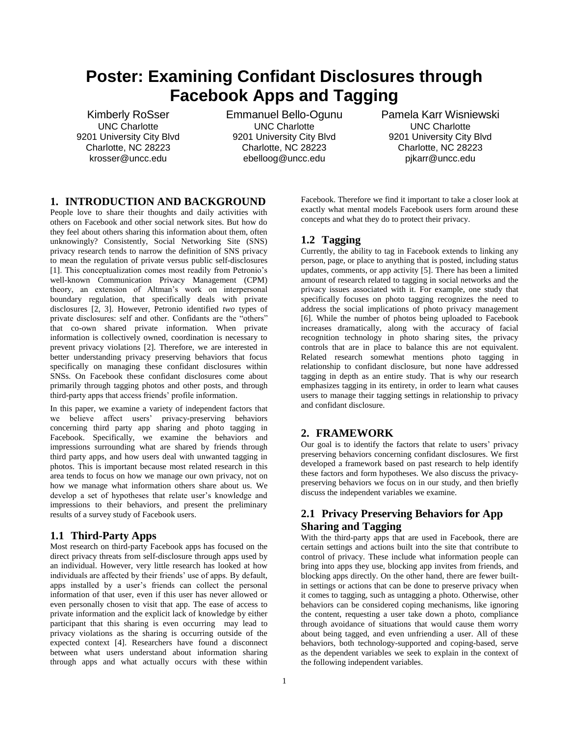# **Poster: Examining Confidant Disclosures through Facebook Apps and Tagging**

Kimberly RoSser UNC Charlotte 9201 University City Blvd Charlotte, NC 28223 krosser@uncc.edu

Emmanuel Bello-Ogunu UNC Charlotte 9201 University City Blvd Charlotte, NC 28223 ebelloog@uncc.edu

Pamela Karr Wisniewski UNC Charlotte 9201 University City Blvd Charlotte, NC 28223 pjkarr@uncc.edu

## **1. INTRODUCTION AND BACKGROUND**

People love to share their thoughts and daily activities with others on Facebook and other social network sites. But how do they feel about others sharing this information about them, often unknowingly? Consistently, Social Networking Site (SNS) privacy research tends to narrow the definition of SNS privacy to mean the regulation of private versus public self-disclosures [1]. This conceptualization comes most readily from Petronio's well-known Communication Privacy Management (CPM) theory, an extension of Altman's work on interpersonal boundary regulation, that specifically deals with private disclosures [\[2,](#page-1-0) 3]. However, Petronio identified *two* types of private disclosures: self and other. Confidants are the "others" that co-own shared private information. When private information is collectively owned, coordination is necessary to prevent privacy violations [\[2\]](#page-1-0). Therefore, we are interested in better understanding privacy preserving behaviors that focus specifically on managing these confidant disclosures within SNSs. On Facebook these confidant disclosures come about primarily through tagging photos and other posts, and through third-party apps that access friends' profile information.

In this paper, we examine a variety of independent factors that we believe affect users' privacy-preserving behaviors concerning third party app sharing and photo tagging in Facebook. Specifically, we examine the behaviors and impressions surrounding what are shared by friends through third party apps, and how users deal with unwanted tagging in photos. This is important because most related research in this area tends to focus on how we manage our own privacy, not on how we manage what information others share about us. We develop a set of hypotheses that relate user's knowledge and impressions to their behaviors, and present the preliminary results of a survey study of Facebook users.

#### **1.1 Third-Party Apps**

Most research on third-party Facebook apps has focused on the direct privacy threats from self-disclosure through apps used by an individual. However, very little research has looked at how individuals are affected by their friends' use of apps. By default, apps installed by a user's friends can collect the personal information of that user, even if this user has never allowed or even personally chosen to visit that app. The ease of access to private information and the explicit lack of knowledge by either participant that this sharing is even occurring may lead to privacy violations as the sharing is occurring outside of the expected context [4]. Researchers have found a disconnect between what users understand about information sharing through apps and what actually occurs with these within

Facebook. Therefore we find it important to take a closer look at exactly what mental models Facebook users form around these concepts and what they do to protect their privacy.

## **1.2 Tagging**

Currently, the ability to tag in Facebook extends to linking any person, page, or place to anything that is posted, including status updates, comments, or app activity [5]. There has been a limited amount of research related to tagging in social networks and the privacy issues associated with it. For example, one study that specifically focuses on photo tagging recognizes the need to address the social implications of photo privacy management [6]. While the number of photos being uploaded to Facebook increases dramatically, along with the accuracy of facial recognition technology in photo sharing sites, the privacy controls that are in place to balance this are not equivalent. Related research somewhat mentions photo tagging in relationship to confidant disclosure, but none have addressed tagging in depth as an entire study. That is why our research emphasizes tagging in its entirety, in order to learn what causes users to manage their tagging settings in relationship to privacy and confidant disclosure.

## **2. FRAMEWORK**

Our goal is to identify the factors that relate to users' privacy preserving behaviors concerning confidant disclosures. We first developed a framework based on past research to help identify these factors and form hypotheses. We also discuss the privacypreserving behaviors we focus on in our study, and then briefly discuss the independent variables we examine.

## **2.1 Privacy Preserving Behaviors for App Sharing and Tagging**

With the third-party apps that are used in Facebook, there are certain settings and actions built into the site that contribute to control of privacy. These include what information people can bring into apps they use, blocking app invites from friends, and blocking apps directly. On the other hand, there are fewer builtin settings or actions that can be done to preserve privacy when it comes to tagging, such as untagging a photo. Otherwise, other behaviors can be considered coping mechanisms, like ignoring the content, requesting a user take down a photo, compliance through avoidance of situations that would cause them worry about being tagged, and even unfriending a user. All of these behaviors, both technology-supported and coping-based, serve as the dependent variables we seek to explain in the context of the following independent variables.